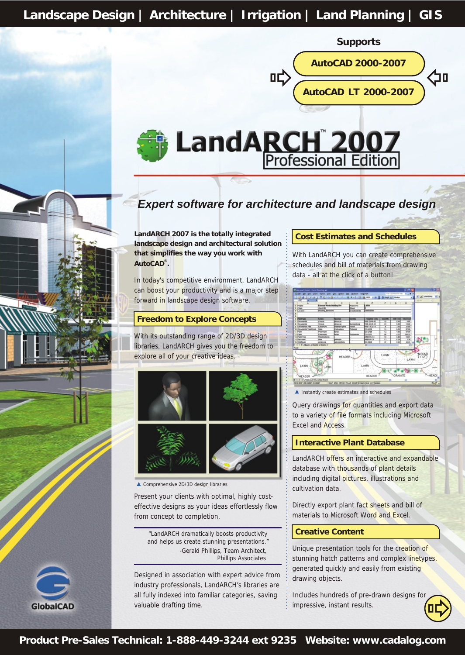**Landscape Design | Architecture | Irrigation | Land Planning | GIS**

**Supports**



# **LandARCH 2007**<br>Professional Edition

### *Expert software for architecture and landscape design*

**LandARCH 2007 is the totally integrated landscape design and architectural solution that simplifies the way you work with ® AutoCAD .**

In today's competitive environment, LandARCH can boost your productivity and is a major step forward in landscape design software.

#### **Freedom to Explore Concepts**

With its outstanding range of 2D/3D design libraries, LandARCH gives you the freedom to explore all of your creative ideas.



▲ Comprehensive 2D/3D design libraries

Ŋ

**GlobalCAD** 

Present your clients with optimal, highly costeffective designs as your ideas effortlessly flow from concept to completion.

"LandARCH dramatically boosts productivity and helps us create stunning presentations." -Gerald Phillips, Team Architect, Phillips Associates

Designed in association with expert advice from industry professionals, LandARCH's libraries are all fully indexed into familiar categories, saving valuable drafting time.

#### **Cost Estimates and Schedules**

With LandARCH you can create comprehensive schedules and bill of materials from drawing data - all at the click of a button!



 $\blacktriangle$  Instantly create estimates and schedules

Query drawings for quantities and export data to a variety of file formats including Microsoft Excel and Access.

#### **Interactive Plant Database**

LandARCH offers an interactive and expandable database with thousands of plant details including digital pictures, illustrations and cultivation data.

Directly export plant fact sheets and bill of materials to Microsoft Word and Excel.

#### **Creative Content**

Unique presentation tools for the creation of stunning hatch patterns and complex linetypes, generated quickly and easily from existing drawing objects.

Includes hundreds of pre-drawn designs for impressive, instant results.